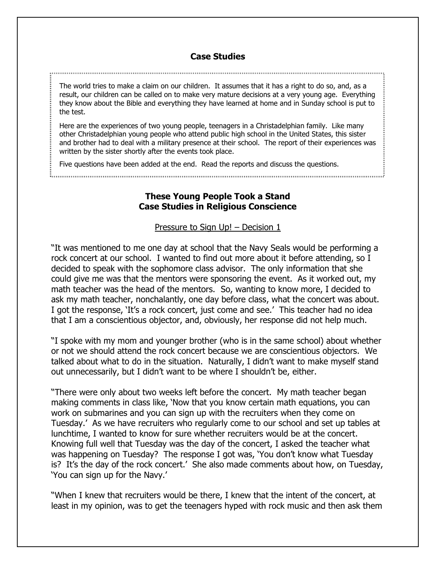## **Case Studies**

The world tries to make a claim on our children. It assumes that it has a right to do so, and, as a result, our children can be called on to make very mature decisions at a very young age. Everything they know about the Bible and everything they have learned at home and in Sunday school is put to the test.

Here are the experiences of two young people, teenagers in a Christadelphian family. Like many other Christadelphian young people who attend public high school in the United States, this sister and brother had to deal with a military presence at their school. The report of their experiences was written by the sister shortly after the events took place.

Five questions have been added at the end. Read the reports and discuss the questions.

# **These Young People Took a Stand Case Studies in Religious Conscience**

Pressure to Sign Up! – Decision 1

"It was mentioned to me one day at school that the Navy Seals would be performing a rock concert at our school. I wanted to find out more about it before attending, so I decided to speak with the sophomore class advisor. The only information that she could give me was that the mentors were sponsoring the event. As it worked out, my math teacher was the head of the mentors. So, wanting to know more, I decided to ask my math teacher, nonchalantly, one day before class, what the concert was about. I got the response, 'It's a rock concert, just come and see.' This teacher had no idea that I am a conscientious objector, and, obviously, her response did not help much.

"I spoke with my mom and younger brother (who is in the same school) about whether or not we should attend the rock concert because we are conscientious objectors. We talked about what to do in the situation. Naturally, I didn't want to make myself stand out unnecessarily, but I didn't want to be where I shouldn't be, either.

"There were only about two weeks left before the concert. My math teacher began making comments in class like, 'Now that you know certain math equations, you can work on submarines and you can sign up with the recruiters when they come on Tuesday.' As we have recruiters who regularly come to our school and set up tables at lunchtime, I wanted to know for sure whether recruiters would be at the concert. Knowing full well that Tuesday was the day of the concert, I asked the teacher what was happening on Tuesday? The response I got was, 'You don't know what Tuesday is? It's the day of the rock concert.' She also made comments about how, on Tuesday, 'You can sign up for the Navy.'

"When I knew that recruiters would be there, I knew that the intent of the concert, at least in my opinion, was to get the teenagers hyped with rock music and then ask them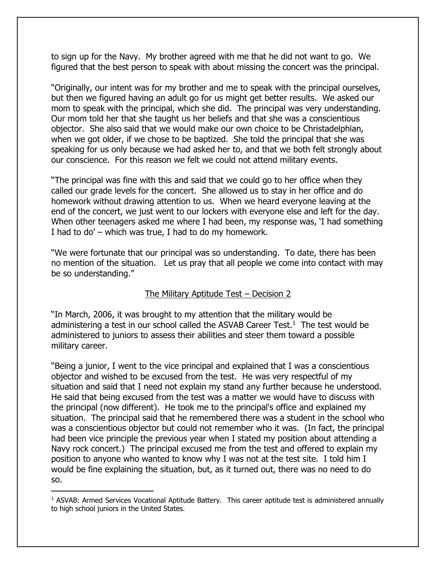to sign up for the Navy. My brother agreed with me that he did not want to go. We figured that the best person to speak with about missing the concert was the principal.

"Originally, our intent was for my brother and me to speak with the principal ourselves, but then we figured having an adult go for us might get better results. We asked our mom to speak with the principal, which she did. The principal was very understanding. Our mom told her that she taught us her beliefs and that she was a conscientious objector. She also said that we would make our own choice to be Christadelphian, when we got older, if we chose to be baptized. She told the principal that she was speaking for us only because we had asked her to, and that we both felt strongly about our conscience. For this reason we felt we could not attend military events.

"The principal was fine with this and said that we could go to her office when they called our grade levels for the concert. She allowed us to stay in her office and do homework without drawing attention to us. When we heard everyone leaving at the end of the concert, we just went to our lockers with everyone else and left for the day. When other teenagers asked me where I had been, my response was, 'I had something I had to do' – which was true, I had to do my homework.

"We were fortunate that our principal was so understanding. To date, there has been no mention of the situation. Let us pray that all people we come into contact with may be so understanding."

## The Military Aptitude Test – Decision 2

"In March, 2006, it was brought to my attention that the military would be administering a test in our school called the ASVAB Career Test.<sup>1</sup> The test would be administered to juniors to assess their abilities and steer them toward a possible military career.

"Being a junior, I went to the vice principal and explained that I was a conscientious objector and wished to be excused from the test. He was very respectful of my situation and said that I need not explain my stand any further because he understood. He said that being excused from the test was a matter we would have to discuss with the principal (now different). He took me to the principal's office and explained my situation. The principal said that he remembered there was a student in the school who was a conscientious objector but could not remember who it was. (In fact, the principal had been vice principle the previous year when I stated my position about attending a Navy rock concert.) The principal excused me from the test and offered to explain my position to anyone who wanted to know why I was not at the test site. I told him I would be fine explaining the situation, but, as it turned out, there was no need to do so.

 $\overline{a}$ 

<sup>1</sup> ASVAB: Armed Services Vocational Aptitude Battery. This career aptitude test is administered annually to high school juniors in the United States.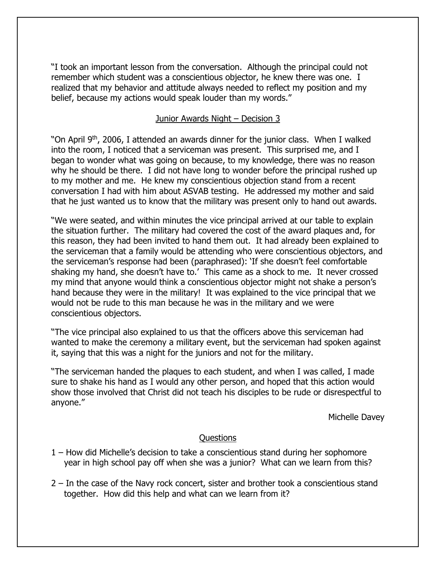"I took an important lesson from the conversation. Although the principal could not remember which student was a conscientious objector, he knew there was one. I realized that my behavior and attitude always needed to reflect my position and my belief, because my actions would speak louder than my words."

## Junior Awards Night – Decision 3

"On April 9<sup>th</sup>, 2006, I attended an awards dinner for the junior class. When I walked into the room, I noticed that a serviceman was present. This surprised me, and I began to wonder what was going on because, to my knowledge, there was no reason why he should be there. I did not have long to wonder before the principal rushed up to my mother and me. He knew my conscientious objection stand from a recent conversation I had with him about ASVAB testing. He addressed my mother and said that he just wanted us to know that the military was present only to hand out awards.

"We were seated, and within minutes the vice principal arrived at our table to explain the situation further. The military had covered the cost of the award plaques and, for this reason, they had been invited to hand them out. It had already been explained to the serviceman that a family would be attending who were conscientious objectors, and the serviceman's response had been (paraphrased): 'If she doesn't feel comfortable shaking my hand, she doesn't have to.' This came as a shock to me. It never crossed my mind that anyone would think a conscientious objector might not shake a person's hand because they were in the military! It was explained to the vice principal that we would not be rude to this man because he was in the military and we were conscientious objectors.

"The vice principal also explained to us that the officers above this serviceman had wanted to make the ceremony a military event, but the serviceman had spoken against it, saying that this was a night for the juniors and not for the military.

"The serviceman handed the plaques to each student, and when I was called, I made sure to shake his hand as I would any other person, and hoped that this action would show those involved that Christ did not teach his disciples to be rude or disrespectful to anyone."

Michelle Davey

#### Questions

- 1 How did Michelle's decision to take a conscientious stand during her sophomore year in high school pay off when she was a junior? What can we learn from this?
- 2 In the case of the Navy rock concert, sister and brother took a conscientious stand together. How did this help and what can we learn from it?